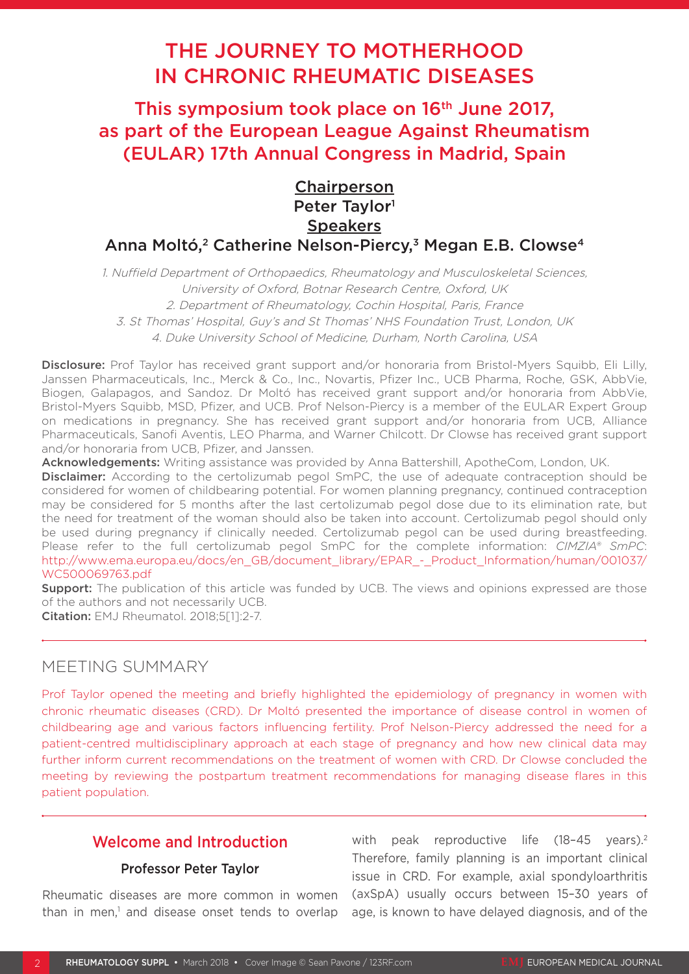# THE JOURNEY TO MOTHERHOOD IN CHRONIC RHEUMATIC DISEASES

This symposium took place on 16<sup>th</sup> June 2017, as part of the European League Against Rheumatism (EULAR) 17th Annual Congress in Madrid, Spain

# **Chairperson** Peter Taylor<sup>1</sup> **Speakers** Anna Moltó,<sup>2</sup> Catherine Nelson-Piercy,<sup>3</sup> Megan E.B. Clowse<sup>4</sup>

1. Nuffield Department of Orthopaedics, Rheumatology and Musculoskeletal Sciences, University of Oxford, Botnar Research Centre, Oxford, UK 2. Department of Rheumatology, Cochin Hospital, Paris, France 3. St Thomas' Hospital, Guy's and St Thomas' NHS Foundation Trust, London, UK 4. Duke University School of Medicine, Durham, North Carolina, USA

Disclosure: Prof Taylor has received grant support and/or honoraria from Bristol-Myers Squibb, Eli Lilly, Janssen Pharmaceuticals, Inc., Merck & Co., Inc., Novartis, Pfizer Inc., UCB Pharma, Roche, GSK, AbbVie, Biogen, Galapagos, and Sandoz. Dr Moltó has received grant support and/or honoraria from AbbVie, Bristol-Myers Squibb, MSD, Pfizer, and UCB. Prof Nelson-Piercy is a member of the EULAR Expert Group on medications in pregnancy. She has received grant support and/or honoraria from UCB, Alliance Pharmaceuticals, Sanofi Aventis, LEO Pharma, and Warner Chilcott. Dr Clowse has received grant support and/or honoraria from UCB, Pfizer, and Janssen.

Acknowledgements: Writing assistance was provided by Anna Battershill, ApotheCom, London, UK.

**Disclaimer:** According to the certolizumab pegol SmPC, the use of adequate contraception should be considered for women of childbearing potential. For women planning pregnancy, continued contraception may be considered for 5 months after the last certolizumab pegol dose due to its elimination rate, but the need for treatment of the woman should also be taken into account. Certolizumab pegol should only be used during pregnancy if clinically needed. Certolizumab pegol can be used during breastfeeding. Please refer to the full certolizumab pegol SmPC for the complete information: *CIMZIA® SmPC*: [http://www.ema.europa.eu/docs/en\\_GB/document\\_library/EPAR\\_-\\_Product\\_Information/human/001037/](http://www.ema.europa.eu/docs/en_GB/document_library/EPAR_-_Product_Information/human/001037/WC500069763.pdf) [WC500069763.pdf](http://www.ema.europa.eu/docs/en_GB/document_library/EPAR_-_Product_Information/human/001037/WC500069763.pdf)

**Support:** The publication of this article was funded by UCB. The views and opinions expressed are those of the authors and not necessarily UCB.

Citation: EMJ Rheumatol. 2018;5[1]:2-7.

# MEETING SUMMARY

Prof Taylor opened the meeting and briefly highlighted the epidemiology of pregnancy in women with chronic rheumatic diseases (CRD). Dr Moltó presented the importance of disease control in women of childbearing age and various factors influencing fertility. Prof Nelson-Piercy addressed the need for a patient-centred multidisciplinary approach at each stage of pregnancy and how new clinical data may further inform current recommendations on the treatment of women with CRD. Dr Clowse concluded the meeting by reviewing the postpartum treatment recommendations for managing disease flares in this patient population.

# Welcome and Introduction

## Professor Peter Taylor

Rheumatic diseases are more common in women than in men,<sup>1</sup> and disease onset tends to overlap

with peak reproductive life (18-45 years).<sup>2</sup> Therefore, family planning is an important clinical issue in CRD. For example, axial spondyloarthritis (axSpA) usually occurs between 15–30 years of age, is known to have delayed diagnosis, and of the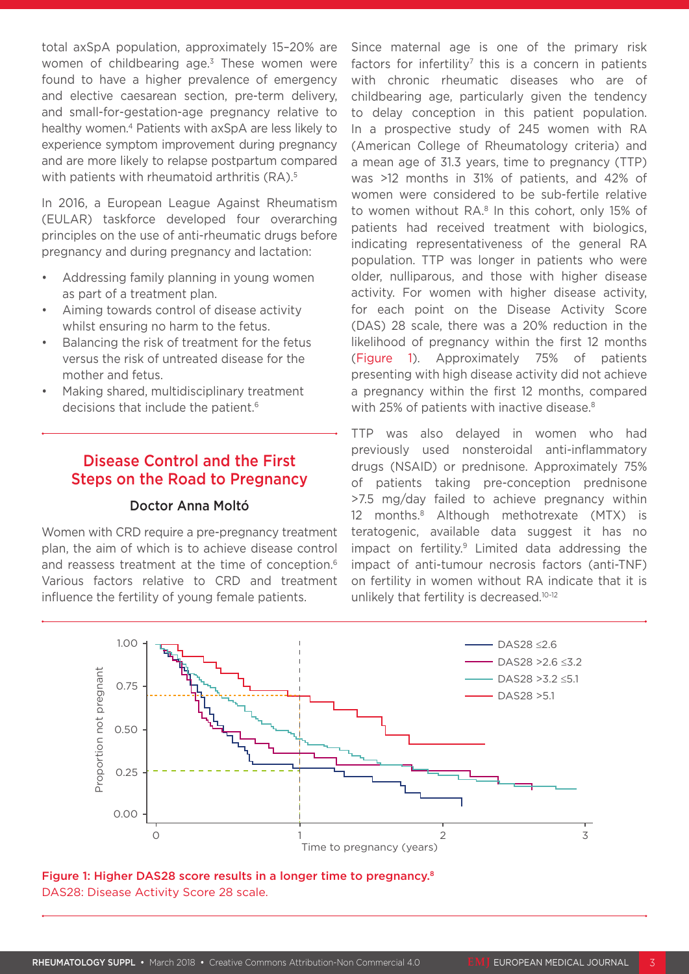total axSpA population, approximately 15–20% are women of childbearing age.<sup>3</sup> These women were found to have a higher prevalence of emergency and elective caesarean section, pre-term delivery, and small-for-gestation-age pregnancy relative to healthy women.<sup>4</sup> Patients with axSpA are less likely to experience symptom improvement during pregnancy and are more likely to relapse postpartum compared with patients with rheumatoid arthritis (RA).<sup>5</sup>

In 2016, a European League Against Rheumatism (EULAR) taskforce developed four overarching principles on the use of anti-rheumatic drugs before pregnancy and during pregnancy and lactation:

- Addressing family planning in young women as part of a treatment plan.
- Aiming towards control of disease activity whilst ensuring no harm to the fetus.
- Balancing the risk of treatment for the fetus versus the risk of untreated disease for the mother and fetus.
- Making shared, multidisciplinary treatment decisions that include the patient.<sup>6</sup>

# Disease Control and the First Steps on the Road to Pregnancy

## Doctor Anna Moltó

Women with CRD require a pre-pregnancy treatment plan, the aim of which is to achieve disease control and reassess treatment at the time of conception.<sup>6</sup> Various factors relative to CRD and treatment influence the fertility of young female patients.

Since maternal age is one of the primary risk factors for infertility<sup>7</sup> this is a concern in patients with chronic rheumatic diseases who are of childbearing age, particularly given the tendency to delay conception in this patient population. In a prospective study of 245 women with RA (American College of Rheumatology criteria) and a mean age of 31.3 years, time to pregnancy (TTP) was >12 months in 31% of patients, and 42% of women were considered to be sub-fertile relative to women without RA.<sup>8</sup> In this cohort, only 15% of patients had received treatment with biologics, indicating representativeness of the general RA population. TTP was longer in patients who were older, nulliparous, and those with higher disease activity. For women with higher disease activity, for each point on the Disease Activity Score (DAS) 28 scale, there was a 20% reduction in the likelihood of pregnancy within the first 12 months (Figure 1). Approximately 75% of patients presenting with high disease activity did not achieve a pregnancy within the first 12 months, compared with 25% of patients with inactive disease.<sup>8</sup>

TTP was also delayed in women who had previously used nonsteroidal anti-inflammatory drugs (NSAID) or prednisone. Approximately 75% of patients taking pre-conception prednisone >7.5 mg/day failed to achieve pregnancy within 12 months.8 Although methotrexate (MTX) is teratogenic, available data suggest it has no impact on fertility.9 Limited data addressing the impact of anti-tumour necrosis factors (anti-TNF) on fertility in women without RA indicate that it is unlikely that fertility is decreased.<sup>10-12</sup>



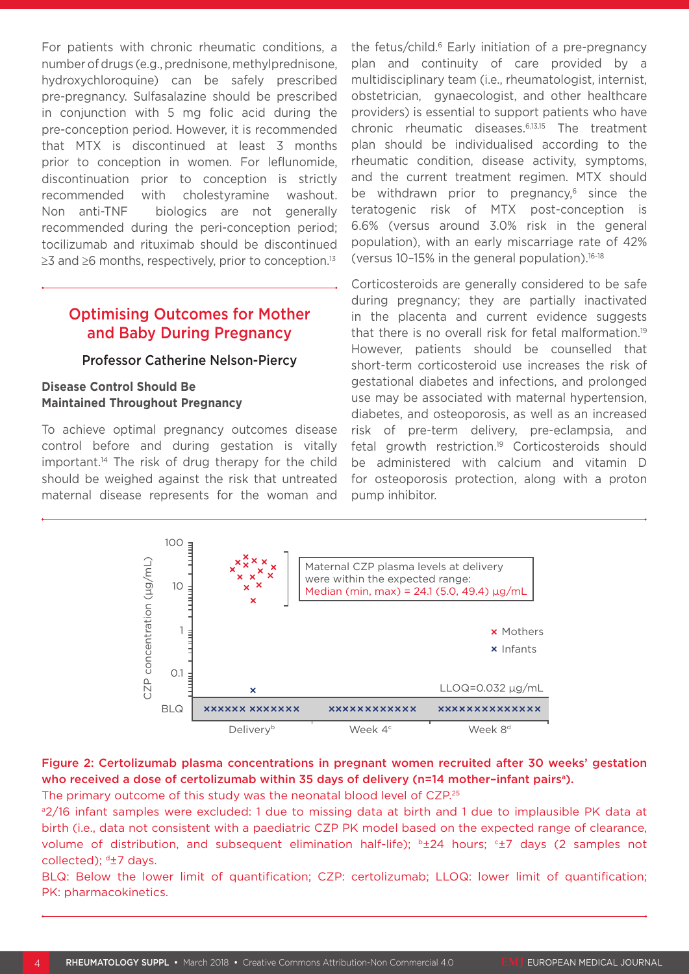For patients with chronic rheumatic conditions, a number of drugs (e.g., prednisone, methylprednisone, hydroxychloroquine) can be safely prescribed pre-pregnancy. Sulfasalazine should be prescribed in conjunction with 5 mg folic acid during the pre-conception period. However, it is recommended that MTX is discontinued at least 3 months prior to conception in women. For leflunomide, discontinuation prior to conception is strictly recommended with cholestyramine washout. Non anti-TNF biologics are not generally recommended during the peri-conception period; tocilizumab and rituximab should be discontinued  $\geq$ 3 and  $\geq$ 6 months, respectively, prior to conception.<sup>13</sup>

# Optimising Outcomes for Mother and Baby During Pregnancy

#### Professor Catherine Nelson-Piercy

## **Disease Control Should Be Maintained Throughout Pregnancy**

To achieve optimal pregnancy outcomes disease control before and during gestation is vitally important.14 The risk of drug therapy for the child should be weighed against the risk that untreated maternal disease represents for the woman and

the fetus/child.<sup>6</sup> Early initiation of a pre-pregnancy plan and continuity of care provided by a multidisciplinary team (i.e., rheumatologist, internist, obstetrician, gynaecologist, and other healthcare providers) is essential to support patients who have chronic rheumatic diseases.6,13,15 The treatment plan should be individualised according to the rheumatic condition, disease activity, symptoms, and the current treatment regimen. MTX should be withdrawn prior to pregnancy, $6$  since the teratogenic risk of MTX post-conception is 6.6% (versus around 3.0% risk in the general population), with an early miscarriage rate of 42% (versus  $10-15%$  in the general population).<sup>16-18</sup>

Corticosteroids are generally considered to be safe during pregnancy; they are partially inactivated in the placenta and current evidence suggests that there is no overall risk for fetal malformation.19 However, patients should be counselled that short-term corticosteroid use increases the risk of gestational diabetes and infections, and prolonged use may be associated with maternal hypertension, diabetes, and osteoporosis, as well as an increased risk of pre-term delivery, pre-eclampsia, and fetal growth restriction.<sup>19</sup> Corticosteroids should be administered with calcium and vitamin D for osteoporosis protection, along with a proton pump inhibitor.



## Figure 2: Certolizumab plasma concentrations in pregnant women recruited after 30 weeks' gestation who received a dose of certolizumab within 35 days of delivery (n=14 mother-infant pairs<sup>a</sup>).

The primary outcome of this study was the neonatal blood level of CZP.<sup>25</sup>

a2/16 infant samples were excluded: 1 due to missing data at birth and 1 due to implausible PK data at birth (i.e., data not consistent with a paediatric CZP PK model based on the expected range of clearance, volume of distribution, and subsequent elimination half-life); <sup>b</sup>±24 hours; <sup>c</sup>±7 days (2 samples not collected); <sup>d</sup>±7 days.

BLQ: Below the lower limit of quantification; CZP: certolizumab; LLOQ: lower limit of quantification; PK: pharmacokinetics.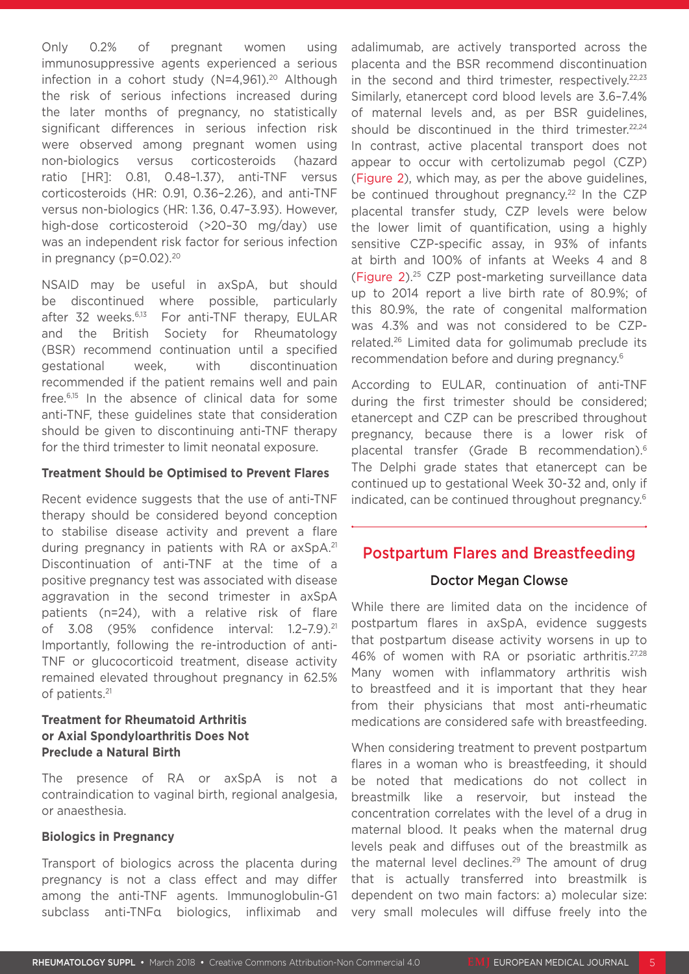Only 0.2% of pregnant women using immunosuppressive agents experienced a serious infection in a cohort study  $(N=4,961).^{20}$  Although the risk of serious infections increased during the later months of pregnancy, no statistically significant differences in serious infection risk were observed among pregnant women using non-biologics versus corticosteroids (hazard ratio [HR]: 0.81, 0.48–1.37), anti-TNF versus corticosteroids (HR: 0.91, 0.36–2.26), and anti-TNF versus non-biologics (HR: 1.36, 0.47–3.93). However, high-dose corticosteroid (>20–30 mg/day) use was an independent risk factor for serious infection in pregnancy ( $p=0.02$ ).<sup>20</sup>

NSAID may be useful in axSpA, but should be discontinued where possible, particularly after 32 weeks.<sup>6,13</sup> For anti-TNF therapy, EULAR and the British Society for Rheumatology (BSR) recommend continuation until a specified gestational week, with discontinuation recommended if the patient remains well and pain free.6,15 In the absence of clinical data for some anti-TNF, these guidelines state that consideration should be given to discontinuing anti-TNF therapy for the third trimester to limit neonatal exposure.

#### **Treatment Should be Optimised to Prevent Flares**

Recent evidence suggests that the use of anti-TNF therapy should be considered beyond conception to stabilise disease activity and prevent a flare during pregnancy in patients with RA or axSpA.<sup>21</sup> Discontinuation of anti-TNF at the time of a positive pregnancy test was associated with disease aggravation in the second trimester in axSpA patients (n=24), with a relative risk of flare of 3.08 (95% confidence interval: 1.2–7.9).21 Importantly, following the re-introduction of anti-TNF or glucocorticoid treatment, disease activity remained elevated throughout pregnancy in 62.5% of patients.21

## **Treatment for Rheumatoid Arthritis or Axial Spondyloarthritis Does Not Preclude a Natural Birth**

The presence of RA or axSpA is not a contraindication to vaginal birth, regional analgesia, or anaesthesia.

#### **Biologics in Pregnancy**

Transport of biologics across the placenta during pregnancy is not a class effect and may differ among the anti-TNF agents. Immunoglobulin-G1 subclass anti-TNFα biologics, infliximab and adalimumab, are actively transported across the placenta and the BSR recommend discontinuation in the second and third trimester, respectively. $22,23$ Similarly, etanercept cord blood levels are 3.6–7.4% of maternal levels and, as per BSR guidelines, should be discontinued in the third trimester.<sup>22,24</sup> In contrast, active placental transport does not appear to occur with certolizumab pegol (CZP) (Figure 2), which may, as per the above guidelines, be continued throughout pregnancy.<sup>22</sup> In the CZP placental transfer study, CZP levels were below the lower limit of quantification, using a highly sensitive CZP-specific assay, in 93% of infants at birth and 100% of infants at Weeks 4 and 8 (Figure 2).25 CZP post-marketing surveillance data up to 2014 report a live birth rate of 80.9%; of this 80.9%, the rate of congenital malformation was 4.3% and was not considered to be CZPrelated.26 Limited data for golimumab preclude its recommendation before and during pregnancy.6

According to EULAR, continuation of anti-TNF during the first trimester should be considered; etanercept and CZP can be prescribed throughout pregnancy, because there is a lower risk of placental transfer (Grade B recommendation).6 The Delphi grade states that etanercept can be continued up to gestational Week 30-32 and, only if indicated, can be continued throughout pregnancy.6

# Postpartum Flares and Breastfeeding

## Doctor Megan Clowse

While there are limited data on the incidence of postpartum flares in axSpA, evidence suggests that postpartum disease activity worsens in up to 46% of women with RA or psoriatic arthritis.27,28 Many women with inflammatory arthritis wish to breastfeed and it is important that they hear from their physicians that most anti-rheumatic medications are considered safe with breastfeeding.

When considering treatment to prevent postpartum flares in a woman who is breastfeeding, it should be noted that medications do not collect in breastmilk like a reservoir, but instead the concentration correlates with the level of a drug in maternal blood. It peaks when the maternal drug levels peak and diffuses out of the breastmilk as the maternal level declines.<sup>29</sup> The amount of drug that is actually transferred into breastmilk is dependent on two main factors: a) molecular size: very small molecules will diffuse freely into the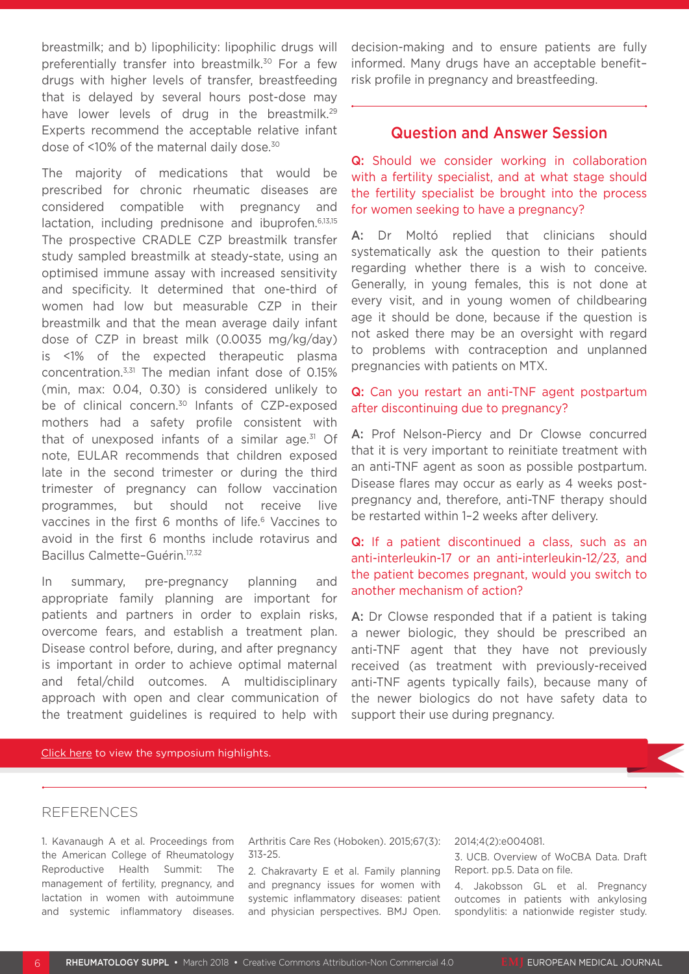breastmilk; and b) lipophilicity: lipophilic drugs will preferentially transfer into breastmilk.<sup>30</sup> For a few drugs with higher levels of transfer, breastfeeding that is delayed by several hours post-dose may have lower levels of drug in the breastmilk.<sup>29</sup> Experts recommend the acceptable relative infant dose of <10% of the maternal daily dose.30

The majority of medications that would be prescribed for chronic rheumatic diseases are considered compatible with pregnancy and lactation, including prednisone and ibuprofen.<sup>6,13,15</sup> The prospective CRADLE CZP breastmilk transfer study sampled breastmilk at steady-state, using an optimised immune assay with increased sensitivity and specificity. It determined that one-third of women had low but measurable CZP in their breastmilk and that the mean average daily infant dose of CZP in breast milk (0.0035 mg/kg/day) is <1% of the expected therapeutic plasma concentration.3,31 The median infant dose of 0.15% (min, max: 0.04, 0.30) is considered unlikely to be of clinical concern.<sup>30</sup> Infants of CZP-exposed mothers had a safety profile consistent with that of unexposed infants of a similar age. $31$  Of note, EULAR recommends that children exposed late in the second trimester or during the third trimester of pregnancy can follow vaccination programmes, but should not receive live vaccines in the first 6 months of life.<sup>6</sup> Vaccines to avoid in the first 6 months include rotavirus and Bacillus Calmette–Guérin.17,32

In summary, pre-pregnancy planning and appropriate family planning are important for patients and partners in order to explain risks, overcome fears, and establish a treatment plan. Disease control before, during, and after pregnancy is important in order to achieve optimal maternal and fetal/child outcomes. A multidisciplinary approach with open and clear communication of the treatment guidelines is required to help with decision-making and to ensure patients are fully informed. Many drugs have an acceptable benefit– risk profile in pregnancy and breastfeeding.

## Question and Answer Session

Q: Should we consider working in collaboration with a fertility specialist, and at what stage should the fertility specialist be brought into the process for women seeking to have a pregnancy?

A: Dr Moltó replied that clinicians should systematically ask the question to their patients regarding whether there is a wish to conceive. Generally, in young females, this is not done at every visit, and in young women of childbearing age it should be done, because if the question is not asked there may be an oversight with regard to problems with contraception and unplanned pregnancies with patients on MTX.

#### Q: Can you restart an anti-TNF agent postpartum after discontinuing due to pregnancy?

A: Prof Nelson-Piercy and Dr Clowse concurred that it is very important to reinitiate treatment with an anti-TNF agent as soon as possible postpartum. Disease flares may occur as early as 4 weeks postpregnancy and, therefore, anti-TNF therapy should be restarted within 1–2 weeks after delivery.

## Q: If a patient discontinued a class, such as an anti-interleukin-17 or an anti-interleukin-12/23, and the patient becomes pregnant, would you switch to another mechanism of action?

A: Dr Clowse responded that if a patient is taking a newer biologic, they should be prescribed an anti-TNF agent that they have not previously received (as treatment with previously-received anti-TNF agents typically fails), because many of the newer biologics do not have safety data to support their use during pregnancy.

#### [Click here to view the symposium highlights.](http://178.79.152.94:4000/)

#### REFERENCES

1. Kavanaugh A et al. Proceedings from the American College of Rheumatology Reproductive Health Summit: The management of fertility, pregnancy, and lactation in women with autoimmune and systemic inflammatory diseases. Arthritis Care Res (Hoboken). 2015;67(3): 313-25.

2. Chakravarty E et al. Family planning and pregnancy issues for women with systemic inflammatory diseases: patient and physician perspectives. BMJ Open.

#### 2014;4(2):e004081.

3. UCB. Overview of WoCBA Data. Draft Report. pp.5. Data on file.

4. Jakobsson GL et al. Pregnancy outcomes in patients with ankylosing spondylitis: a nationwide register study.